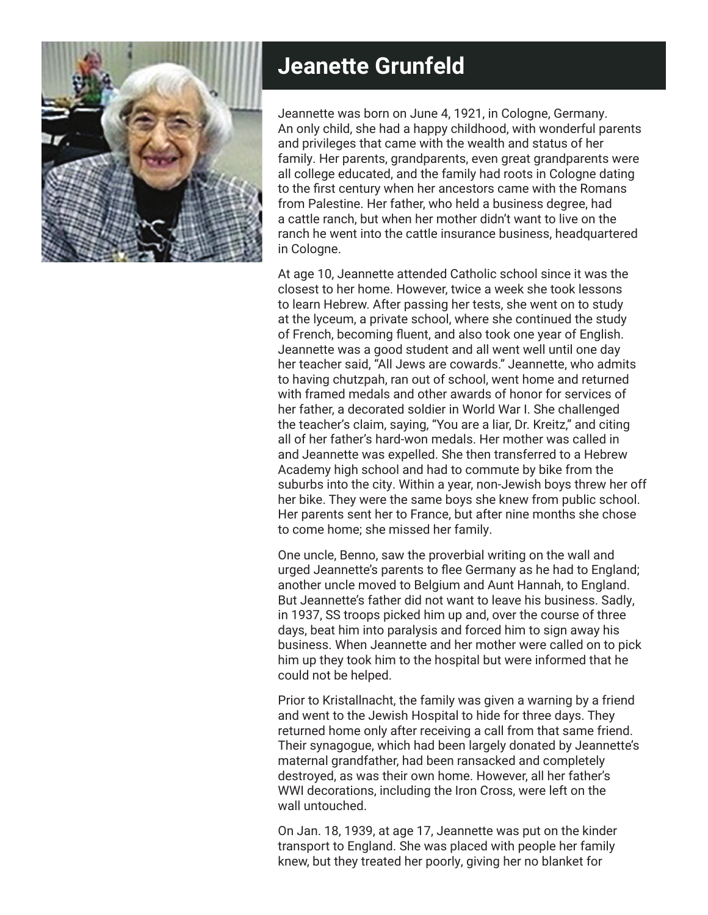

## **Jeanette Grunfeld**

Jeannette was born on June 4, 1921, in Cologne, Germany. An only child, she had a happy childhood, with wonderful parents and privileges that came with the wealth and status of her family. Her parents, grandparents, even great grandparents were all college educated, and the family had roots in Cologne dating to the first century when her ancestors came with the Romans from Palestine. Her father, who held a business degree, had a cattle ranch, but when her mother didn't want to live on the ranch he went into the cattle insurance business, headquartered in Cologne.

At age 10, Jeannette attended Catholic school since it was the closest to her home. However, twice a week she took lessons to learn Hebrew. After passing her tests, she went on to study at the lyceum, a private school, where she continued the study of French, becoming fluent, and also took one year of English. Jeannette was a good student and all went well until one day her teacher said, "All Jews are cowards." Jeannette, who admits to having chutzpah, ran out of school, went home and returned with framed medals and other awards of honor for services of her father, a decorated soldier in World War I. She challenged the teacher's claim, saying, "You are a liar, Dr. Kreitz," and citing all of her father's hard-won medals. Her mother was called in and Jeannette was expelled. She then transferred to a Hebrew Academy high school and had to commute by bike from the suburbs into the city. Within a year, non-Jewish boys threw her off her bike. They were the same boys she knew from public school. Her parents sent her to France, but after nine months she chose to come home; she missed her family.

One uncle, Benno, saw the proverbial writing on the wall and urged Jeannette's parents to flee Germany as he had to England; another uncle moved to Belgium and Aunt Hannah, to England. But Jeannette's father did not want to leave his business. Sadly, in 1937, SS troops picked him up and, over the course of three days, beat him into paralysis and forced him to sign away his business. When Jeannette and her mother were called on to pick him up they took him to the hospital but were informed that he could not be helped.

Prior to Kristallnacht, the family was given a warning by a friend and went to the Jewish Hospital to hide for three days. They returned home only after receiving a call from that same friend. Their synagogue, which had been largely donated by Jeannette's maternal grandfather, had been ransacked and completely destroyed, as was their own home. However, all her father's WWI decorations, including the Iron Cross, were left on the wall untouched.

On Jan. 18, 1939, at age 17, Jeannette was put on the kinder transport to England. She was placed with people her family knew, but they treated her poorly, giving her no blanket for